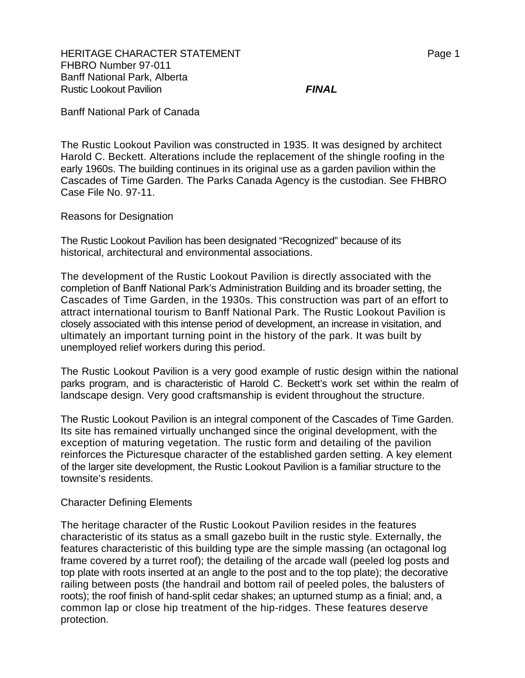HERITAGE CHARACTER STATEMENT FRAGGERAL MERITAGE CHARACTER STATEMENT FHBRO Number 97-011 Banff National Park, Alberta Rustic Lookout Pavilion *FINAL*

Banff National Park of Canada

The Rustic Lookout Pavilion was constructed in 1935. It was designed by architect Harold C. Beckett. Alterations include the replacement of the shingle roofing in the early 1960s. The building continues in its original use as a garden pavilion within the Cascades of Time Garden. The Parks Canada Agency is the custodian. See FHBRO Case File No. 97-11.

Reasons for Designation

The Rustic Lookout Pavilion has been designated "Recognized" because of its historical, architectural and environmental associations.

The development of the Rustic Lookout Pavilion is directly associated with the completion of Banff National Park's Administration Building and its broader setting, the Cascades of Time Garden, in the 1930s. This construction was part of an effort to attract international tourism to Banff National Park. The Rustic Lookout Pavilion is closely associated with this intense period of development, an increase in visitation, and ultimately an important turning point in the history of the park. It was built by unemployed relief workers during this period.

The Rustic Lookout Pavilion is a very good example of rustic design within the national parks program, and is characteristic of Harold C. Beckett's work set within the realm of landscape design. Very good craftsmanship is evident throughout the structure.

The Rustic Lookout Pavilion is an integral component of the Cascades of Time Garden. Its site has remained virtually unchanged since the original development, with the exception of maturing vegetation. The rustic form and detailing of the pavilion reinforces the Picturesque character of the established garden setting. A key element of the larger site development, the Rustic Lookout Pavilion is a familiar structure to the townsite's residents.

## Character Defining Elements

The heritage character of the Rustic Lookout Pavilion resides in the features characteristic of its status as a small gazebo built in the rustic style. Externally, the features characteristic of this building type are the simple massing (an octagonal log frame covered by a turret roof); the detailing of the arcade wall (peeled log posts and top plate with roots inserted at an angle to the post and to the top plate); the decorative railing between posts (the handrail and bottom rail of peeled poles, the balusters of roots); the roof finish of hand-split cedar shakes; an upturned stump as a finial; and, a common lap or close hip treatment of the hip-ridges. These features deserve protection.